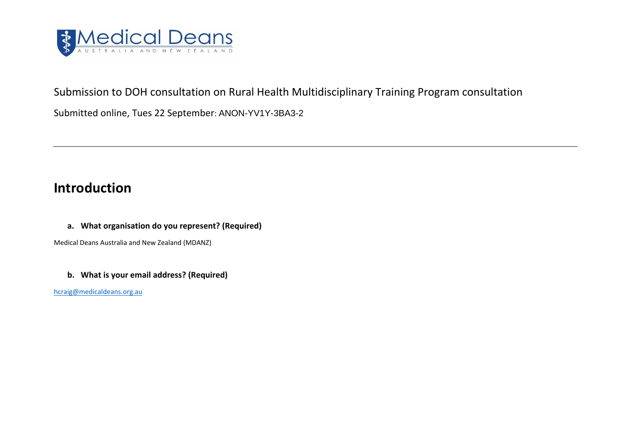

## Submission to DOH consultation on Rural Health Multidisciplinary Training Program consultation

Submitted online, Tues 22 September: ANON-YV1Y-3BA3-2

# **Introduction**

## **a. What organisation do you represent? (Required)**

Medical Deans Australia and New Zealand (MDANZ)

### **b. What is your email address? (Required)**

[hcraig@medicaldeans.org.au](mailto:hcraig@medicaldeans.org.au)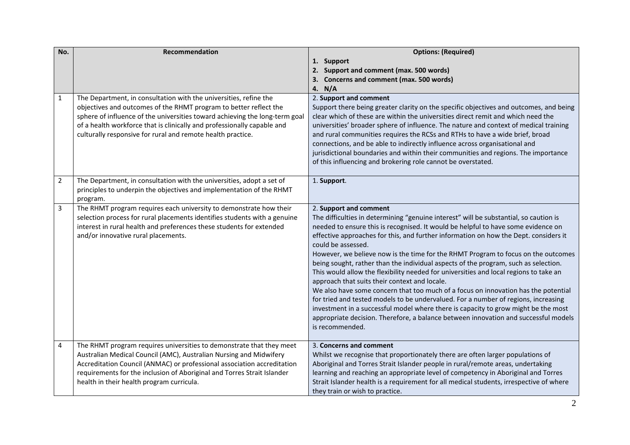| No.            | Recommendation                                                                                                                                                                                                                                                                                                                                                  | <b>Options: (Required)</b>                                                                                                                                                                                                                                                                                                                                                                                                                                                                                                                                                                                                                                                                                                                                                                                                                                                                                                                                                                                           |
|----------------|-----------------------------------------------------------------------------------------------------------------------------------------------------------------------------------------------------------------------------------------------------------------------------------------------------------------------------------------------------------------|----------------------------------------------------------------------------------------------------------------------------------------------------------------------------------------------------------------------------------------------------------------------------------------------------------------------------------------------------------------------------------------------------------------------------------------------------------------------------------------------------------------------------------------------------------------------------------------------------------------------------------------------------------------------------------------------------------------------------------------------------------------------------------------------------------------------------------------------------------------------------------------------------------------------------------------------------------------------------------------------------------------------|
|                |                                                                                                                                                                                                                                                                                                                                                                 | 1. Support                                                                                                                                                                                                                                                                                                                                                                                                                                                                                                                                                                                                                                                                                                                                                                                                                                                                                                                                                                                                           |
|                |                                                                                                                                                                                                                                                                                                                                                                 | 2. Support and comment (max. 500 words)                                                                                                                                                                                                                                                                                                                                                                                                                                                                                                                                                                                                                                                                                                                                                                                                                                                                                                                                                                              |
|                |                                                                                                                                                                                                                                                                                                                                                                 | 3. Concerns and comment (max. 500 words)                                                                                                                                                                                                                                                                                                                                                                                                                                                                                                                                                                                                                                                                                                                                                                                                                                                                                                                                                                             |
|                |                                                                                                                                                                                                                                                                                                                                                                 | 4. N/A                                                                                                                                                                                                                                                                                                                                                                                                                                                                                                                                                                                                                                                                                                                                                                                                                                                                                                                                                                                                               |
| $\mathbf{1}$   | The Department, in consultation with the universities, refine the<br>objectives and outcomes of the RHMT program to better reflect the<br>sphere of influence of the universities toward achieving the long-term goal<br>of a health workforce that is clinically and professionally capable and<br>culturally responsive for rural and remote health practice. | 2. Support and comment<br>Support there being greater clarity on the specific objectives and outcomes, and being<br>clear which of these are within the universities direct remit and which need the<br>universities' broader sphere of influence. The nature and context of medical training<br>and rural communities requires the RCSs and RTHs to have a wide brief, broad<br>connections, and be able to indirectly influence across organisational and<br>jurisdictional boundaries and within their communities and regions. The importance<br>of this influencing and brokering role cannot be overstated.                                                                                                                                                                                                                                                                                                                                                                                                    |
| $\overline{2}$ | The Department, in consultation with the universities, adopt a set of<br>principles to underpin the objectives and implementation of the RHMT<br>program.                                                                                                                                                                                                       | 1. Support.                                                                                                                                                                                                                                                                                                                                                                                                                                                                                                                                                                                                                                                                                                                                                                                                                                                                                                                                                                                                          |
| 3              | The RHMT program requires each university to demonstrate how their<br>selection process for rural placements identifies students with a genuine<br>interest in rural health and preferences these students for extended<br>and/or innovative rural placements.                                                                                                  | 2. Support and comment<br>The difficulties in determining "genuine interest" will be substantial, so caution is<br>needed to ensure this is recognised. It would be helpful to have some evidence on<br>effective approaches for this, and further information on how the Dept. considers it<br>could be assessed.<br>However, we believe now is the time for the RHMT Program to focus on the outcomes<br>being sought, rather than the individual aspects of the program, such as selection.<br>This would allow the flexibility needed for universities and local regions to take an<br>approach that suits their context and locale.<br>We also have some concern that too much of a focus on innovation has the potential<br>for tried and tested models to be undervalued. For a number of regions, increasing<br>investment in a successful model where there is capacity to grow might be the most<br>appropriate decision. Therefore, a balance between innovation and successful models<br>is recommended. |
| $\sqrt{4}$     | The RHMT program requires universities to demonstrate that they meet<br>Australian Medical Council (AMC), Australian Nursing and Midwifery<br>Accreditation Council (ANMAC) or professional association accreditation<br>requirements for the inclusion of Aboriginal and Torres Strait Islander<br>health in their health program curricula.                   | 3. Concerns and comment<br>Whilst we recognise that proportionately there are often larger populations of<br>Aboriginal and Torres Strait Islander people in rural/remote areas, undertaking<br>learning and reaching an appropriate level of competency in Aboriginal and Torres<br>Strait Islander health is a requirement for all medical students, irrespective of where<br>they train or wish to practice.                                                                                                                                                                                                                                                                                                                                                                                                                                                                                                                                                                                                      |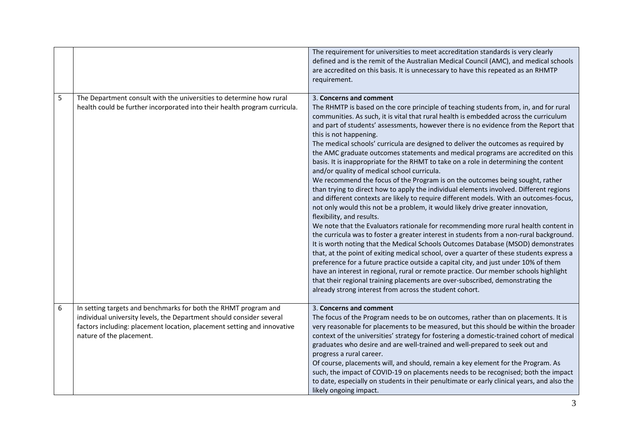|   |                                                                                                                                                                                                                                                | The requirement for universities to meet accreditation standards is very clearly<br>defined and is the remit of the Australian Medical Council (AMC), and medical schools<br>are accredited on this basis. It is unnecessary to have this repeated as an RHMTP<br>requirement.                                                                                                                                                                                                                                                                                                                                                                                                                                                                                                                                                                                                                                                                                                                                                                                                                                                                                                                                                                                                                                                                                                                                                                                                                                                                                                                                                                                                                                                   |
|---|------------------------------------------------------------------------------------------------------------------------------------------------------------------------------------------------------------------------------------------------|----------------------------------------------------------------------------------------------------------------------------------------------------------------------------------------------------------------------------------------------------------------------------------------------------------------------------------------------------------------------------------------------------------------------------------------------------------------------------------------------------------------------------------------------------------------------------------------------------------------------------------------------------------------------------------------------------------------------------------------------------------------------------------------------------------------------------------------------------------------------------------------------------------------------------------------------------------------------------------------------------------------------------------------------------------------------------------------------------------------------------------------------------------------------------------------------------------------------------------------------------------------------------------------------------------------------------------------------------------------------------------------------------------------------------------------------------------------------------------------------------------------------------------------------------------------------------------------------------------------------------------------------------------------------------------------------------------------------------------|
| 5 | The Department consult with the universities to determine how rural<br>health could be further incorporated into their health program curricula.                                                                                               | 3. Concerns and comment<br>The RHMTP is based on the core principle of teaching students from, in, and for rural<br>communities. As such, it is vital that rural health is embedded across the curriculum<br>and part of students' assessments, however there is no evidence from the Report that<br>this is not happening.<br>The medical schools' curricula are designed to deliver the outcomes as required by<br>the AMC graduate outcomes statements and medical programs are accredited on this<br>basis. It is inappropriate for the RHMT to take on a role in determining the content<br>and/or quality of medical school curricula.<br>We recommend the focus of the Program is on the outcomes being sought, rather<br>than trying to direct how to apply the individual elements involved. Different regions<br>and different contexts are likely to require different models. With an outcomes-focus,<br>not only would this not be a problem, it would likely drive greater innovation,<br>flexibility, and results.<br>We note that the Evaluators rationale for recommending more rural health content in<br>the curricula was to foster a greater interest in students from a non-rural background.<br>It is worth noting that the Medical Schools Outcomes Database (MSOD) demonstrates<br>that, at the point of exiting medical school, over a quarter of these students express a<br>preference for a future practice outside a capital city, and just under 10% of them<br>have an interest in regional, rural or remote practice. Our member schools highlight<br>that their regional training placements are over-subscribed, demonstrating the<br>already strong interest from across the student cohort. |
| 6 | In setting targets and benchmarks for both the RHMT program and<br>individual university levels, the Department should consider several<br>factors including: placement location, placement setting and innovative<br>nature of the placement. | 3. Concerns and comment<br>The focus of the Program needs to be on outcomes, rather than on placements. It is<br>very reasonable for placements to be measured, but this should be within the broader<br>context of the universities' strategy for fostering a domestic-trained cohort of medical<br>graduates who desire and are well-trained and well-prepared to seek out and<br>progress a rural career.<br>Of course, placements will, and should, remain a key element for the Program. As<br>such, the impact of COVID-19 on placements needs to be recognised; both the impact<br>to date, especially on students in their penultimate or early clinical years, and also the<br>likely ongoing impact.                                                                                                                                                                                                                                                                                                                                                                                                                                                                                                                                                                                                                                                                                                                                                                                                                                                                                                                                                                                                                   |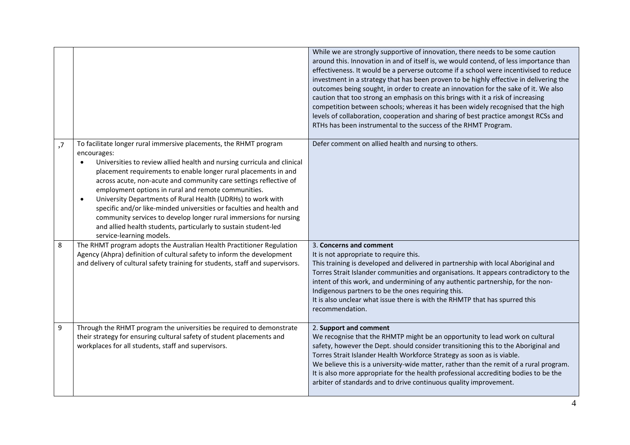|    |                                                                                                                                                                                                                                                                                                                                                                                                                                                                                                                                                                                                                                                                                    | While we are strongly supportive of innovation, there needs to be some caution<br>around this. Innovation in and of itself is, we would contend, of less importance than<br>effectiveness. It would be a perverse outcome if a school were incentivised to reduce<br>investment in a strategy that has been proven to be highly effective in delivering the<br>outcomes being sought, in order to create an innovation for the sake of it. We also<br>caution that too strong an emphasis on this brings with it a risk of increasing<br>competition between schools; whereas it has been widely recognised that the high<br>levels of collaboration, cooperation and sharing of best practice amongst RCSs and<br>RTHs has been instrumental to the success of the RHMT Program. |
|----|------------------------------------------------------------------------------------------------------------------------------------------------------------------------------------------------------------------------------------------------------------------------------------------------------------------------------------------------------------------------------------------------------------------------------------------------------------------------------------------------------------------------------------------------------------------------------------------------------------------------------------------------------------------------------------|-----------------------------------------------------------------------------------------------------------------------------------------------------------------------------------------------------------------------------------------------------------------------------------------------------------------------------------------------------------------------------------------------------------------------------------------------------------------------------------------------------------------------------------------------------------------------------------------------------------------------------------------------------------------------------------------------------------------------------------------------------------------------------------|
| ,7 | To facilitate longer rural immersive placements, the RHMT program<br>encourages:<br>Universities to review allied health and nursing curricula and clinical<br>placement requirements to enable longer rural placements in and<br>across acute, non-acute and community care settings reflective of<br>employment options in rural and remote communities.<br>University Departments of Rural Health (UDRHs) to work with<br>$\bullet$<br>specific and/or like-minded universities or faculties and health and<br>community services to develop longer rural immersions for nursing<br>and allied health students, particularly to sustain student-led<br>service-learning models. | Defer comment on allied health and nursing to others.                                                                                                                                                                                                                                                                                                                                                                                                                                                                                                                                                                                                                                                                                                                             |
| 8  | The RHMT program adopts the Australian Health Practitioner Regulation<br>Agency (Ahpra) definition of cultural safety to inform the development<br>and delivery of cultural safety training for students, staff and supervisors.                                                                                                                                                                                                                                                                                                                                                                                                                                                   | 3. Concerns and comment<br>It is not appropriate to require this.<br>This training is developed and delivered in partnership with local Aboriginal and<br>Torres Strait Islander communities and organisations. It appears contradictory to the<br>intent of this work, and undermining of any authentic partnership, for the non-<br>Indigenous partners to be the ones requiring this.<br>It is also unclear what issue there is with the RHMTP that has spurred this<br>recommendation.                                                                                                                                                                                                                                                                                        |
| 9  | Through the RHMT program the universities be required to demonstrate<br>their strategy for ensuring cultural safety of student placements and<br>workplaces for all students, staff and supervisors.                                                                                                                                                                                                                                                                                                                                                                                                                                                                               | 2. Support and comment<br>We recognise that the RHMTP might be an opportunity to lead work on cultural<br>safety, however the Dept. should consider transitioning this to the Aboriginal and<br>Torres Strait Islander Health Workforce Strategy as soon as is viable.<br>We believe this is a university-wide matter, rather than the remit of a rural program.<br>It is also more appropriate for the health professional accrediting bodies to be the<br>arbiter of standards and to drive continuous quality improvement.                                                                                                                                                                                                                                                     |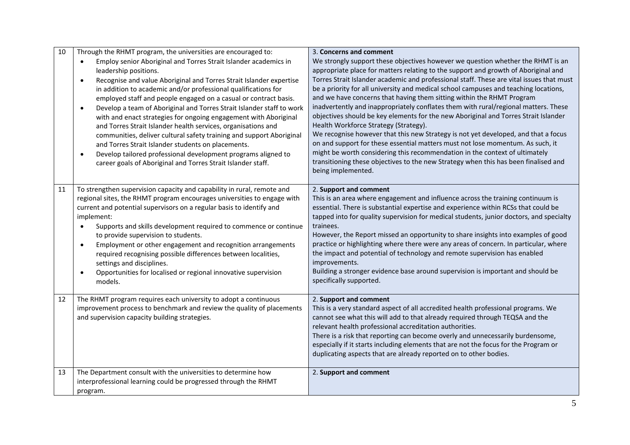| 10 | Through the RHMT program, the universities are encouraged to:<br>Employ senior Aboriginal and Torres Strait Islander academics in<br>$\bullet$<br>leadership positions.<br>Recognise and value Aboriginal and Torres Strait Islander expertise<br>$\bullet$<br>in addition to academic and/or professional qualifications for<br>employed staff and people engaged on a casual or contract basis.<br>Develop a team of Aboriginal and Torres Strait Islander staff to work<br>$\bullet$<br>with and enact strategies for ongoing engagement with Aboriginal<br>and Torres Strait Islander health services, organisations and<br>communities, deliver cultural safety training and support Aboriginal<br>and Torres Strait Islander students on placements.<br>Develop tailored professional development programs aligned to<br>$\bullet$<br>career goals of Aboriginal and Torres Strait Islander staff. | 3. Concerns and comment<br>We strongly support these objectives however we question whether the RHMT is an<br>appropriate place for matters relating to the support and growth of Aboriginal and<br>Torres Strait Islander academic and professional staff. These are vital issues that must<br>be a priority for all university and medical school campuses and teaching locations,<br>and we have concerns that having them sitting within the RHMT Program<br>inadvertently and inappropriately conflates them with rural/regional matters. These<br>objectives should be key elements for the new Aboriginal and Torres Strait Islander<br>Health Workforce Strategy (Strategy).<br>We recognise however that this new Strategy is not yet developed, and that a focus<br>on and support for these essential matters must not lose momentum. As such, it<br>might be worth considering this recommendation in the context of ultimately<br>transitioning these objectives to the new Strategy when this has been finalised and<br>being implemented. |
|----|----------------------------------------------------------------------------------------------------------------------------------------------------------------------------------------------------------------------------------------------------------------------------------------------------------------------------------------------------------------------------------------------------------------------------------------------------------------------------------------------------------------------------------------------------------------------------------------------------------------------------------------------------------------------------------------------------------------------------------------------------------------------------------------------------------------------------------------------------------------------------------------------------------|----------------------------------------------------------------------------------------------------------------------------------------------------------------------------------------------------------------------------------------------------------------------------------------------------------------------------------------------------------------------------------------------------------------------------------------------------------------------------------------------------------------------------------------------------------------------------------------------------------------------------------------------------------------------------------------------------------------------------------------------------------------------------------------------------------------------------------------------------------------------------------------------------------------------------------------------------------------------------------------------------------------------------------------------------------|
| 11 | To strengthen supervision capacity and capability in rural, remote and<br>regional sites, the RHMT program encourages universities to engage with<br>current and potential supervisors on a regular basis to identify and<br>implement:<br>Supports and skills development required to commence or continue<br>$\bullet$<br>to provide supervision to students.<br>Employment or other engagement and recognition arrangements<br>$\bullet$<br>required recognising possible differences between localities,<br>settings and disciplines.<br>Opportunities for localised or regional innovative supervision<br>$\bullet$<br>models.                                                                                                                                                                                                                                                                      | 2. Support and comment<br>This is an area where engagement and influence across the training continuum is<br>essential. There is substantial expertise and experience within RCSs that could be<br>tapped into for quality supervision for medical students, junior doctors, and specialty<br>trainees.<br>However, the Report missed an opportunity to share insights into examples of good<br>practice or highlighting where there were any areas of concern. In particular, where<br>the impact and potential of technology and remote supervision has enabled<br>improvements.<br>Building a stronger evidence base around supervision is important and should be<br>specifically supported.                                                                                                                                                                                                                                                                                                                                                         |
| 12 | The RHMT program requires each university to adopt a continuous<br>improvement process to benchmark and review the quality of placements<br>and supervision capacity building strategies.                                                                                                                                                                                                                                                                                                                                                                                                                                                                                                                                                                                                                                                                                                                | 2. Support and comment<br>This is a very standard aspect of all accredited health professional programs. We<br>cannot see what this will add to that already required through TEQSA and the<br>relevant health professional accreditation authorities.<br>There is a risk that reporting can become overly and unnecessarily burdensome,<br>especially if it starts including elements that are not the focus for the Program or<br>duplicating aspects that are already reported on to other bodies.                                                                                                                                                                                                                                                                                                                                                                                                                                                                                                                                                    |
| 13 | The Department consult with the universities to determine how<br>interprofessional learning could be progressed through the RHMT<br>program.                                                                                                                                                                                                                                                                                                                                                                                                                                                                                                                                                                                                                                                                                                                                                             | 2. Support and comment                                                                                                                                                                                                                                                                                                                                                                                                                                                                                                                                                                                                                                                                                                                                                                                                                                                                                                                                                                                                                                   |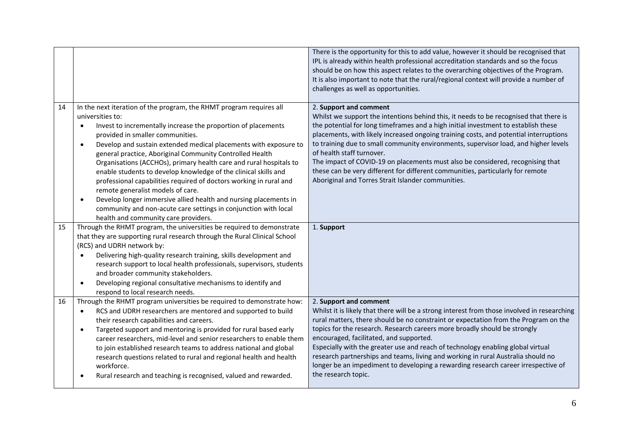|    |                                                                                                                                                                                                                                                                                                                                                                                                                                                                                                                                                                                                                                                                                                                                                                                                        | There is the opportunity for this to add value, however it should be recognised that<br>IPL is already within health professional accreditation standards and so the focus<br>should be on how this aspect relates to the overarching objectives of the Program.<br>It is also important to note that the rural/regional context will provide a number of<br>challenges as well as opportunities.                                                                                                                                                                                                                                            |
|----|--------------------------------------------------------------------------------------------------------------------------------------------------------------------------------------------------------------------------------------------------------------------------------------------------------------------------------------------------------------------------------------------------------------------------------------------------------------------------------------------------------------------------------------------------------------------------------------------------------------------------------------------------------------------------------------------------------------------------------------------------------------------------------------------------------|----------------------------------------------------------------------------------------------------------------------------------------------------------------------------------------------------------------------------------------------------------------------------------------------------------------------------------------------------------------------------------------------------------------------------------------------------------------------------------------------------------------------------------------------------------------------------------------------------------------------------------------------|
| 14 | In the next iteration of the program, the RHMT program requires all<br>universities to:<br>Invest to incrementally increase the proportion of placements<br>$\bullet$<br>provided in smaller communities.<br>Develop and sustain extended medical placements with exposure to<br>$\bullet$<br>general practice, Aboriginal Community Controlled Health<br>Organisations (ACCHOs), primary health care and rural hospitals to<br>enable students to develop knowledge of the clinical skills and<br>professional capabilities required of doctors working in rural and<br>remote generalist models of care.<br>Develop longer immersive allied health and nursing placements in<br>$\bullet$<br>community and non-acute care settings in conjunction with local<br>health and community care providers. | 2. Support and comment<br>Whilst we support the intentions behind this, it needs to be recognised that there is<br>the potential for long timeframes and a high initial investment to establish these<br>placements, with likely increased ongoing training costs, and potential interruptions<br>to training due to small community environments, supervisor load, and higher levels<br>of health staff turnover.<br>The impact of COVID-19 on placements must also be considered, recognising that<br>these can be very different for different communities, particularly for remote<br>Aboriginal and Torres Strait Islander communities. |
| 15 | Through the RHMT program, the universities be required to demonstrate<br>that they are supporting rural research through the Rural Clinical School<br>(RCS) and UDRH network by:<br>Delivering high-quality research training, skills development and<br>$\bullet$<br>research support to local health professionals, supervisors, students<br>and broader community stakeholders.                                                                                                                                                                                                                                                                                                                                                                                                                     | 1. Support                                                                                                                                                                                                                                                                                                                                                                                                                                                                                                                                                                                                                                   |
| 16 | Developing regional consultative mechanisms to identify and<br>$\bullet$<br>respond to local research needs.<br>Through the RHMT program universities be required to demonstrate how:<br>RCS and UDRH researchers are mentored and supported to build<br>$\bullet$<br>their research capabilities and careers.<br>Targeted support and mentoring is provided for rural based early<br>$\bullet$<br>career researchers, mid-level and senior researchers to enable them<br>to join established research teams to address national and global<br>research questions related to rural and regional health and health<br>workforce.<br>Rural research and teaching is recognised, valued and rewarded.                                                                                                     | 2. Support and comment<br>Whilst it is likely that there will be a strong interest from those involved in researching<br>rural matters, there should be no constraint or expectation from the Program on the<br>topics for the research. Research careers more broadly should be strongly<br>encouraged, facilitated, and supported.<br>Especially with the greater use and reach of technology enabling global virtual<br>research partnerships and teams, living and working in rural Australia should no<br>longer be an impediment to developing a rewarding research career irrespective of<br>the research topic.                      |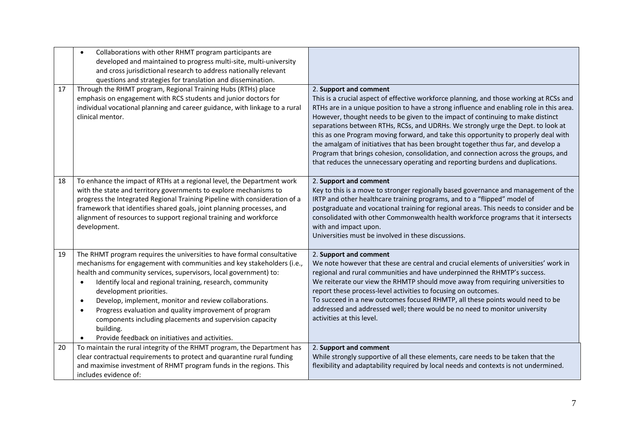|    | Collaborations with other RHMT program participants are<br>$\bullet$<br>developed and maintained to progress multi-site, multi-university<br>and cross jurisdictional research to address nationally relevant<br>questions and strategies for translation and dissemination.                                                                                                                                                                                                                                                                                                                         |                                                                                                                                                                                                                                                                                                                                                                                                                                                                                                                                                                                                                                                                                                                                          |
|----|------------------------------------------------------------------------------------------------------------------------------------------------------------------------------------------------------------------------------------------------------------------------------------------------------------------------------------------------------------------------------------------------------------------------------------------------------------------------------------------------------------------------------------------------------------------------------------------------------|------------------------------------------------------------------------------------------------------------------------------------------------------------------------------------------------------------------------------------------------------------------------------------------------------------------------------------------------------------------------------------------------------------------------------------------------------------------------------------------------------------------------------------------------------------------------------------------------------------------------------------------------------------------------------------------------------------------------------------------|
| 17 | Through the RHMT program, Regional Training Hubs (RTHs) place<br>emphasis on engagement with RCS students and junior doctors for<br>individual vocational planning and career guidance, with linkage to a rural<br>clinical mentor.                                                                                                                                                                                                                                                                                                                                                                  | 2. Support and comment<br>This is a crucial aspect of effective workforce planning, and those working at RCSs and<br>RTHs are in a unique position to have a strong influence and enabling role in this area.<br>However, thought needs to be given to the impact of continuing to make distinct<br>separations between RTHs, RCSs, and UDRHs. We strongly urge the Dept. to look at<br>this as one Program moving forward, and take this opportunity to properly deal with<br>the amalgam of initiatives that has been brought together thus far, and develop a<br>Program that brings cohesion, consolidation, and connection across the groups, and<br>that reduces the unnecessary operating and reporting burdens and duplications. |
| 18 | To enhance the impact of RTHs at a regional level, the Department work<br>with the state and territory governments to explore mechanisms to<br>progress the Integrated Regional Training Pipeline with consideration of a<br>framework that identifies shared goals, joint planning processes, and<br>alignment of resources to support regional training and workforce<br>development.                                                                                                                                                                                                              | 2. Support and comment<br>Key to this is a move to stronger regionally based governance and management of the<br>IRTP and other healthcare training programs, and to a "flipped" model of<br>postgraduate and vocational training for regional areas. This needs to consider and be<br>consolidated with other Commonwealth health workforce programs that it intersects<br>with and impact upon.<br>Universities must be involved in these discussions.                                                                                                                                                                                                                                                                                 |
| 19 | The RHMT program requires the universities to have formal consultative<br>mechanisms for engagement with communities and key stakeholders (i.e.,<br>health and community services, supervisors, local government) to:<br>Identify local and regional training, research, community<br>$\bullet$<br>development priorities.<br>Develop, implement, monitor and review collaborations.<br>$\bullet$<br>Progress evaluation and quality improvement of program<br>$\bullet$<br>components including placements and supervision capacity<br>building.<br>Provide feedback on initiatives and activities. | 2. Support and comment<br>We note however that these are central and crucial elements of universities' work in<br>regional and rural communities and have underpinned the RHMTP's success.<br>We reiterate our view the RHMTP should move away from requiring universities to<br>report these process-level activities to focusing on outcomes.<br>To succeed in a new outcomes focused RHMTP, all these points would need to be<br>addressed and addressed well; there would be no need to monitor university<br>activities at this level.                                                                                                                                                                                              |
| 20 | To maintain the rural integrity of the RHMT program, the Department has<br>clear contractual requirements to protect and quarantine rural funding<br>and maximise investment of RHMT program funds in the regions. This<br>includes evidence of:                                                                                                                                                                                                                                                                                                                                                     | 2. Support and comment<br>While strongly supportive of all these elements, care needs to be taken that the<br>flexibility and adaptability required by local needs and contexts is not undermined.                                                                                                                                                                                                                                                                                                                                                                                                                                                                                                                                       |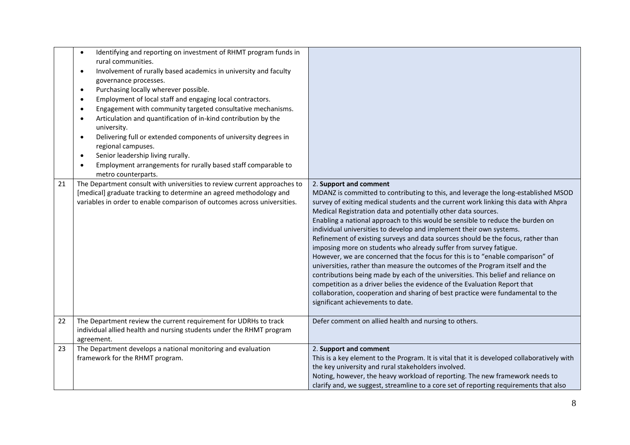|    | Identifying and reporting on investment of RHMT program funds in<br>$\bullet$<br>rural communities.<br>Involvement of rurally based academics in university and faculty<br>$\bullet$<br>governance processes.<br>Purchasing locally wherever possible.<br>$\bullet$<br>Employment of local staff and engaging local contractors.<br>$\bullet$<br>Engagement with community targeted consultative mechanisms.<br>$\bullet$<br>Articulation and quantification of in-kind contribution by the<br>$\bullet$<br>university.<br>Delivering full or extended components of university degrees in<br>$\bullet$<br>regional campuses.<br>Senior leadership living rurally.<br>$\bullet$<br>Employment arrangements for rurally based staff comparable to<br>$\bullet$<br>metro counterparts. |                                                                                                                                                                                                                                                                                                                                                                                                                                                                                                                                                                                                                                                                                                                                                                                                                                                                                                                                                                                                                                                     |
|----|--------------------------------------------------------------------------------------------------------------------------------------------------------------------------------------------------------------------------------------------------------------------------------------------------------------------------------------------------------------------------------------------------------------------------------------------------------------------------------------------------------------------------------------------------------------------------------------------------------------------------------------------------------------------------------------------------------------------------------------------------------------------------------------|-----------------------------------------------------------------------------------------------------------------------------------------------------------------------------------------------------------------------------------------------------------------------------------------------------------------------------------------------------------------------------------------------------------------------------------------------------------------------------------------------------------------------------------------------------------------------------------------------------------------------------------------------------------------------------------------------------------------------------------------------------------------------------------------------------------------------------------------------------------------------------------------------------------------------------------------------------------------------------------------------------------------------------------------------------|
| 21 | The Department consult with universities to review current approaches to<br>[medical] graduate tracking to determine an agreed methodology and<br>variables in order to enable comparison of outcomes across universities.                                                                                                                                                                                                                                                                                                                                                                                                                                                                                                                                                           | 2. Support and comment<br>MDANZ is committed to contributing to this, and leverage the long-established MSOD<br>survey of exiting medical students and the current work linking this data with Ahpra<br>Medical Registration data and potentially other data sources.<br>Enabling a national approach to this would be sensible to reduce the burden on<br>individual universities to develop and implement their own systems.<br>Refinement of existing surveys and data sources should be the focus, rather than<br>imposing more on students who already suffer from survey fatigue.<br>However, we are concerned that the focus for this is to "enable comparison" of<br>universities, rather than measure the outcomes of the Program itself and the<br>contributions being made by each of the universities. This belief and reliance on<br>competition as a driver belies the evidence of the Evaluation Report that<br>collaboration, cooperation and sharing of best practice were fundamental to the<br>significant achievements to date. |
| 22 | The Department review the current requirement for UDRHs to track<br>individual allied health and nursing students under the RHMT program<br>agreement.                                                                                                                                                                                                                                                                                                                                                                                                                                                                                                                                                                                                                               | Defer comment on allied health and nursing to others.                                                                                                                                                                                                                                                                                                                                                                                                                                                                                                                                                                                                                                                                                                                                                                                                                                                                                                                                                                                               |
| 23 | The Department develops a national monitoring and evaluation<br>framework for the RHMT program.                                                                                                                                                                                                                                                                                                                                                                                                                                                                                                                                                                                                                                                                                      | 2. Support and comment<br>This is a key element to the Program. It is vital that it is developed collaboratively with<br>the key university and rural stakeholders involved.<br>Noting, however, the heavy workload of reporting. The new framework needs to<br>clarify and, we suggest, streamline to a core set of reporting requirements that also                                                                                                                                                                                                                                                                                                                                                                                                                                                                                                                                                                                                                                                                                               |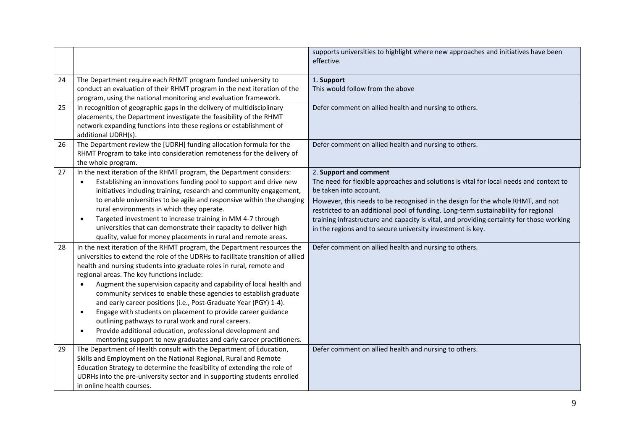|    |                                                                                                                                                                                                                                                                                                                                                                                                                                                                                                                                                                                                                                                                                                                                                                                                    | supports universities to highlight where new approaches and initiatives have been<br>effective.                                                                                                                                                                                                                                                                                                                                                                              |
|----|----------------------------------------------------------------------------------------------------------------------------------------------------------------------------------------------------------------------------------------------------------------------------------------------------------------------------------------------------------------------------------------------------------------------------------------------------------------------------------------------------------------------------------------------------------------------------------------------------------------------------------------------------------------------------------------------------------------------------------------------------------------------------------------------------|------------------------------------------------------------------------------------------------------------------------------------------------------------------------------------------------------------------------------------------------------------------------------------------------------------------------------------------------------------------------------------------------------------------------------------------------------------------------------|
| 24 | The Department require each RHMT program funded university to<br>conduct an evaluation of their RHMT program in the next iteration of the<br>program, using the national monitoring and evaluation framework.                                                                                                                                                                                                                                                                                                                                                                                                                                                                                                                                                                                      | 1. Support<br>This would follow from the above                                                                                                                                                                                                                                                                                                                                                                                                                               |
| 25 | In recognition of geographic gaps in the delivery of multidisciplinary<br>placements, the Department investigate the feasibility of the RHMT<br>network expanding functions into these regions or establishment of<br>additional UDRH(s).                                                                                                                                                                                                                                                                                                                                                                                                                                                                                                                                                          | Defer comment on allied health and nursing to others.                                                                                                                                                                                                                                                                                                                                                                                                                        |
| 26 | The Department review the [UDRH] funding allocation formula for the<br>RHMT Program to take into consideration remoteness for the delivery of<br>the whole program.                                                                                                                                                                                                                                                                                                                                                                                                                                                                                                                                                                                                                                | Defer comment on allied health and nursing to others.                                                                                                                                                                                                                                                                                                                                                                                                                        |
| 27 | In the next iteration of the RHMT program, the Department considers:<br>Establishing an innovations funding pool to support and drive new<br>$\bullet$<br>initiatives including training, research and community engagement,<br>to enable universities to be agile and responsive within the changing<br>rural environments in which they operate.<br>Targeted investment to increase training in MM 4-7 through<br>$\bullet$<br>universities that can demonstrate their capacity to deliver high<br>quality, value for money placements in rural and remote areas.                                                                                                                                                                                                                                | 2. Support and comment<br>The need for flexible approaches and solutions is vital for local needs and context to<br>be taken into account.<br>However, this needs to be recognised in the design for the whole RHMT, and not<br>restricted to an additional pool of funding. Long-term sustainability for regional<br>training infrastructure and capacity is vital, and providing certainty for those working<br>in the regions and to secure university investment is key. |
| 28 | In the next iteration of the RHMT program, the Department resources the<br>universities to extend the role of the UDRHs to facilitate transition of allied<br>health and nursing students into graduate roles in rural, remote and<br>regional areas. The key functions include:<br>Augment the supervision capacity and capability of local health and<br>$\bullet$<br>community services to enable these agencies to establish graduate<br>and early career positions (i.e., Post-Graduate Year (PGY) 1-4).<br>Engage with students on placement to provide career guidance<br>$\bullet$<br>outlining pathways to rural work and rural careers.<br>Provide additional education, professional development and<br>$\bullet$<br>mentoring support to new graduates and early career practitioners. | Defer comment on allied health and nursing to others.                                                                                                                                                                                                                                                                                                                                                                                                                        |
| 29 | The Department of Health consult with the Department of Education,<br>Skills and Employment on the National Regional, Rural and Remote<br>Education Strategy to determine the feasibility of extending the role of<br>UDRHs into the pre-university sector and in supporting students enrolled<br>in online health courses.                                                                                                                                                                                                                                                                                                                                                                                                                                                                        | Defer comment on allied health and nursing to others.                                                                                                                                                                                                                                                                                                                                                                                                                        |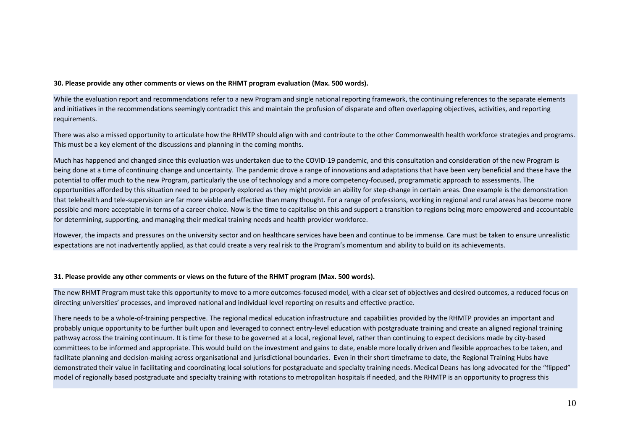#### **30. Please provide any other comments or views on the RHMT program evaluation (Max. 500 words).**

While the evaluation report and recommendations refer to a new Program and single national reporting framework, the continuing references to the separate elements and initiatives in the recommendations seemingly contradict this and maintain the profusion of disparate and often overlapping objectives, activities, and reporting requirements.

There was also a missed opportunity to articulate how the RHMTP should align with and contribute to the other Commonwealth health workforce strategies and programs. This must be a key element of the discussions and planning in the coming months.

Much has happened and changed since this evaluation was undertaken due to the COVID-19 pandemic, and this consultation and consideration of the new Program is being done at a time of continuing change and uncertainty. The pandemic drove a range of innovations and adaptations that have been very beneficial and these have the potential to offer much to the new Program, particularly the use of technology and a more competency-focused, programmatic approach to assessments. The opportunities afforded by this situation need to be properly explored as they might provide an ability for step-change in certain areas. One example is the demonstration that telehealth and tele-supervision are far more viable and effective than many thought. For a range of professions, working in regional and rural areas has become more possible and more acceptable in terms of a career choice. Now is the time to capitalise on this and support a transition to regions being more empowered and accountable for determining, supporting, and managing their medical training needs and health provider workforce.

However, the impacts and pressures on the university sector and on healthcare services have been and continue to be immense. Care must be taken to ensure unrealistic expectations are not inadvertently applied, as that could create a very real risk to the Program's momentum and ability to build on its achievements.

#### **31. Please provide any other comments or views on the future of the RHMT program (Max. 500 words).**

The new RHMT Program must take this opportunity to move to a more outcomes-focused model, with a clear set of objectives and desired outcomes, a reduced focus on directing universities' processes, and improved national and individual level reporting on results and effective practice.

There needs to be a whole-of-training perspective. The regional medical education infrastructure and capabilities provided by the RHMTP provides an important and probably unique opportunity to be further built upon and leveraged to connect entry-level education with postgraduate training and create an aligned regional training pathway across the training continuum. It is time for these to be governed at a local, regional level, rather than continuing to expect decisions made by city-based committees to be informed and appropriate. This would build on the investment and gains to date, enable more locally driven and flexible approaches to be taken, and facilitate planning and decision-making across organisational and jurisdictional boundaries. Even in their short timeframe to date, the Regional Training Hubs have demonstrated their value in facilitating and coordinating local solutions for postgraduate and specialty training needs. Medical Deans has long advocated for the "flipped" model of regionally based postgraduate and specialty training with rotations to metropolitan hospitals if needed, and the RHMTP is an opportunity to progress this